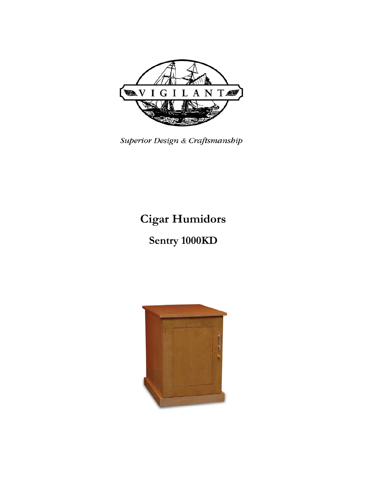

Superior Design & Craftsmanship

# **Cigar Humidors**

# Sentry 1000KD

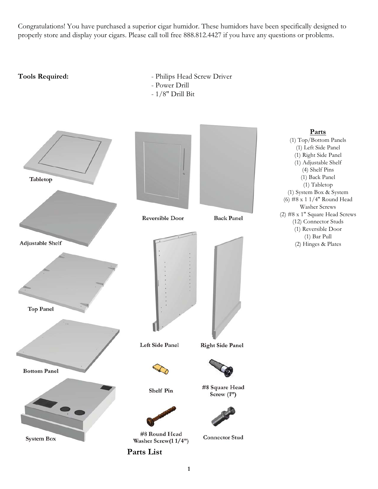Congratulations! You have purchased a superior cigar humidor. These humidors have been specifically designed to properly store and display your cigars. Please call toll free 888.812.4427 if you have any questions or problems.

- Tools Required: **1988** Philips Head Screw Driver
	- Power Drill
	- 1/8" Drill Bit

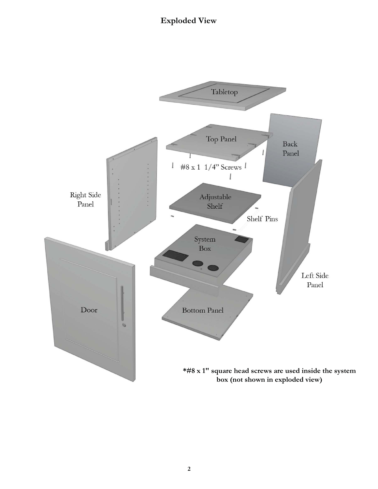## **Exploded View**

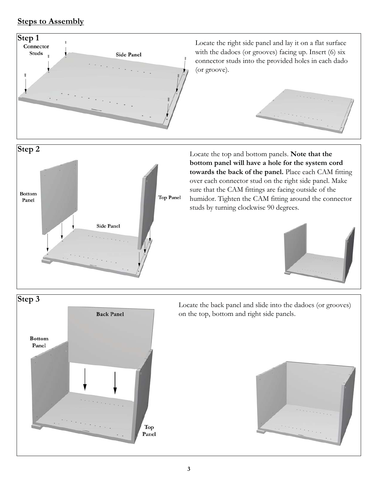# **Steps to Assembly**

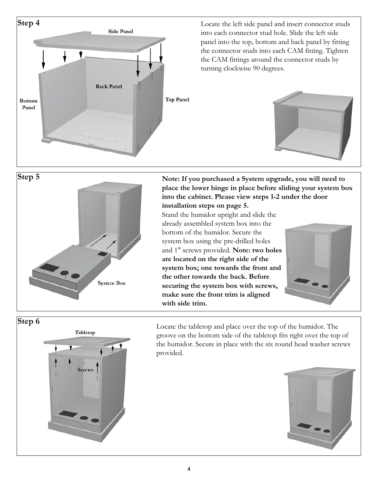



**Step 5 Note: If you purchased a System upgrade, you will need to place the lower hinge in place before sliding your system box into the cabinet. Please view steps 1-2 under the door** 

**installation steps on page 5.**  Stand the humidor upright and slide the already assembled system box into the bottom of the humidor. Secure the system box using the pre-drilled holes and 1" screws provided. **Note: two holes are located on the right side of the system box; one towards the front and the other towards the back. Before securing the system box with screws, make sure the front trim is aligned with side trim.**





Locate the tabletop and place over the top of the humidor. The groove on the bottom side of the tabletop fits right over the top of the humidor. Secure in place with the six round head washer screws provided.

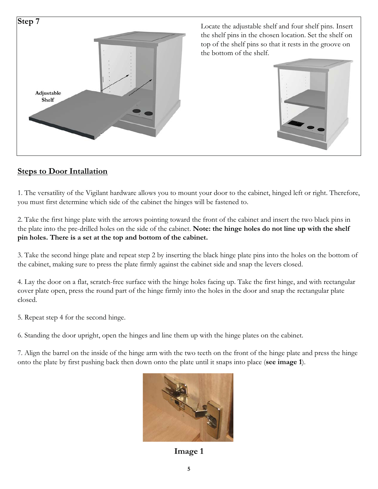

Locate the adjustable shelf and four shelf pins. Insert the shelf pins in the chosen location. Set the shelf on top of the shelf pins so that it rests in the groove on the bottom of the shelf.



## **Steps to Door Intallation**

1. The versatility of the Vigilant hardware allows you to mount your door to the cabinet, hinged left or right. Therefore, you must first determine which side of the cabinet the hinges will be fastened to.

2. Take the first hinge plate with the arrows pointing toward the front of the cabinet and insert the two black pins in the plate into the pre-drilled holes on the side of the cabinet. **Note: the hinge holes do not line up with the shelf pin holes. There is a set at the top and bottom of the cabinet.**

3. Take the second hinge plate and repeat step 2 by inserting the black hinge plate pins into the holes on the bottom of the cabinet, making sure to press the plate firmly against the cabinet side and snap the levers closed.

4. Lay the door on a flat, scratch-free surface with the hinge holes facing up. Take the first hinge, and with rectangular cover plate open, press the round part of the hinge firmly into the holes in the door and snap the rectangular plate closed.

5. Repeat step 4 for the second hinge.

6. Standing the door upright, open the hinges and line them up with the hinge plates on the cabinet.

7. Align the barrel on the inside of the hinge arm with the two teeth on the front of the hinge plate and press the hinge onto the plate by first pushing back then down onto the plate until it snaps into place (**see image 1**).



**Image 1**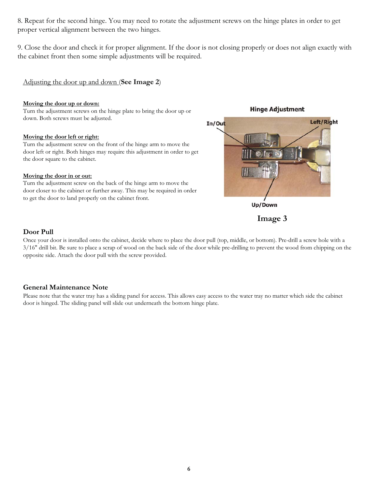8. Repeat for the second hinge. You may need to rotate the adjustment screws on the hinge plates in order to get proper vertical alignment between the two hinges.

9. Close the door and check it for proper alignment. If the door is not closing properly or does not align exactly with the cabinet front then some simple adjustments will be required.

#### Adjusting the door up and down (**See Image 2**)

#### **Moving the door up or down:**

Turn the adjustment screws on the hinge plate to bring the door up or down. Both screws must be adjusted.

#### **Moving the door left or right:**

Turn the adjustment screw on the front of the hinge arm to move the door left or right. Both hinges may require this adjustment in order to get the door square to the cabinet.

#### **Moving the door in or out:**

Turn the adjustment screw on the back of the hinge arm to move the door closer to the cabinet or further away. This may be required in order to get the door to land properly on the cabinet front.

#### **Hinge Adjustment**



**Image 3**

### **Door Pull**

Once your door is installed onto the cabinet, decide where to place the door pull (top, middle, or bottom). Pre-drill a screw hole with a 3/16" drill bit. Be sure to place a scrap of wood on the back side of the door while pre-drilling to prevent the wood from chipping on the opposite side. Attach the door pull with the screw provided.

### **General Maintenance Note**

Please note that the water tray has a sliding panel for access. This allows easy access to the water tray no matter which side the cabinet door is hinged. The sliding panel will slide out underneath the bottom hinge plate.